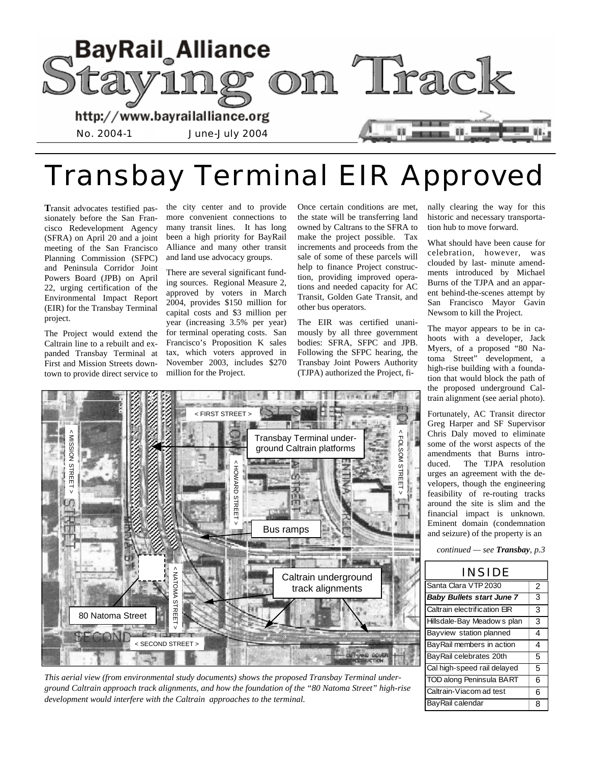

# Transbay Terminal EIR Approved

**T**ransit advocates testified passionately before the San Francisco Redevelopment Agency (SFRA) on April 20 and a joint meeting of the San Francisco Planning Commission (SFPC) and Peninsula Corridor Joint Powers Board (JPB) on April 22, urging certification of the Environmental Impact Report (EIR) for the Transbay Terminal project.

The Project would extend the Caltrain line to a rebuilt and expanded Transbay Terminal at First and Mission Streets downtown to provide direct service to the city center and to provide more convenient connections to many transit lines. It has long been a high priority for BayRail Alliance and many other transit and land use advocacy groups.

There are several significant funding sources. Regional Measure 2, approved by voters in March 2004, provides \$150 million for capital costs and \$3 million per year (increasing 3.5% per year) for terminal operating costs. San Francisco's Proposition K sales tax, which voters approved in November 2003, includes \$270 million for the Project.

Once certain conditions are met, the state will be transferring land owned by Caltrans to the SFRA to make the project possible. Tax increments and proceeds from the sale of some of these parcels will help to finance Project construction, providing improved operations and needed capacity for AC Transit, Golden Gate Transit, and other bus operators.

The EIR was certified unanimously by all three government bodies: SFRA, SFPC and JPB. Following the SFPC hearing, the Transbay Joint Powers Authority (TJPA) authorized the Project, fi-

14040 E1980 N.W

nally clearing the way for this historic and necessary transportation hub to move forward.

What should have been cause for celebration, however, was clouded by last- minute amendments introduced by Michael Burns of the TJPA and an apparent behind-the-scenes attempt by San Francisco Mayor Gavin Newsom to kill the Project.

The mayor appears to be in cahoots with a developer, Jack Myers, of a proposed "80 Natoma Street" development, a high-rise building with a foundation that would block the path of the proposed underground Caltrain alignment (see aerial photo).

Fortunately, AC Transit director Greg Harper and SF Supervisor Chris Daly moved to eliminate some of the worst aspects of the amendments that Burns introduced. The TJPA resolution urges an agreement with the developers, though the engineering feasibility of re-routing tracks around the site is slim and the financial impact is unknown. Eminent domain (condemnation and seizure) of the property is an

*continued — see Transbay, p.3* 





*This aerial view (from environmental study documents) shows the proposed Transbay Terminal underground Caltrain approach track alignments, and how the foundation of the "80 Natoma Street" high-rise development would interfere with the Caltrain approaches to the terminal.*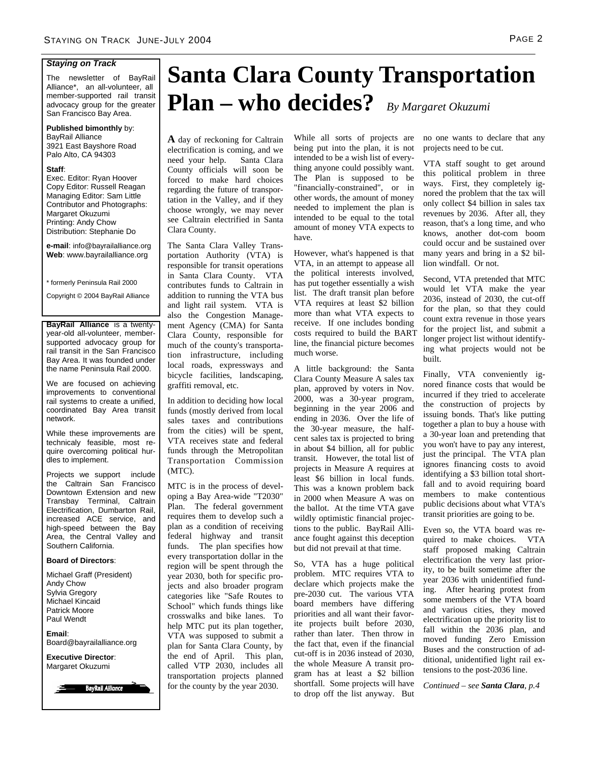#### *Staying on Track*

The newsletter of BayRail Alliance\*, an all-volunteer, all member-supported rail transit advocacy group for the greater San Francisco Bay Area.

#### **Published bimonthly** by: BayRail Alliance

3921 East Bayshore Road Palo Alto, CA 94303

#### **Staff**:

Exec. Editor: Ryan Hoover Copy Editor: Russell Reagan Managing Editor: Sam Little Contributor and Photographs: Margaret Okuzumi Printing: Andy Chow Distribution: Stephanie Do

**e-mail**: info@bayrailalliance.org **Web**: www.bayrailalliance.org

\* formerly Peninsula Rail 2000

Copyright © 2004 BayRail Alliance

**BayRail Alliance** is a twentyyear-old all-volunteer, membersupported advocacy group for rail transit in the San Francisco Bay Area. It was founded under the name Peninsula Rail 2000.

We are focused on achieving improvements to conventional rail systems to create a unified, coordinated Bay Area transit network.

While these improvements are technicaly feasible, most require overcoming political hurdles to implement.

Projects we support include the Caltrain San Francisco Downtown Extension and new Transbay Terminal, Caltrain Electrification, Dumbarton Rail, increased ACE service, and high-speed between the Bay Area, the Central Valley and Southern California.

#### **Board of Directors**:

Michael Graff (President) Andy Chow Sylvia Gregory Michael Kincaid Patrick Moore Paul Wendt

**Email**: Board@bayrailalliance.org

**Executive Director**: Margaret Okuzumi



# **Santa Clara County Transportation Plan – who decides?** *By Margaret Okuzumi*

**A** day of reckoning for Caltrain electrification is coming, and we need your help. Santa Clara County officials will soon be forced to make hard choices regarding the future of transportation in the Valley, and if they choose wrongly, we may never see Caltrain electrified in Santa Clara County.

The Santa Clara Valley Transportation Authority (VTA) is responsible for transit operations in Santa Clara County. VTA contributes funds to Caltrain in addition to running the VTA bus and light rail system. VTA is also the Congestion Management Agency (CMA) for Santa Clara County, responsible for much of the county's transportation infrastructure, including local roads, expressways and bicycle facilities, landscaping, graffiti removal, etc.

In addition to deciding how local funds (mostly derived from local sales taxes and contributions from the cities) will be spent, VTA receives state and federal funds through the Metropolitan Transportation Commission (MTC).

MTC is in the process of developing a Bay Area-wide "T2030" Plan. The federal government requires them to develop such a plan as a condition of receiving federal highway and transit funds. The plan specifies how every transportation dollar in the region will be spent through the year 2030, both for specific projects and also broader program categories like "Safe Routes to School" which funds things like crosswalks and bike lanes. To help MTC put its plan together, VTA was supposed to submit a plan for Santa Clara County, by the end of April. This plan, called VTP 2030, includes all transportation projects planned for the county by the year 2030.

While all sorts of projects are being put into the plan, it is not intended to be a wish list of everything anyone could possibly want. The Plan is supposed to be "financially-constrained", or in other words, the amount of money needed to implement the plan is intended to be equal to the total amount of money VTA expects to have.

However, what's happened is that VTA, in an attempt to appease all the political interests involved, has put together essentially a wish list. The draft transit plan before VTA requires at least \$2 billion more than what VTA expects to receive. If one includes bonding costs required to build the BART line, the financial picture becomes much worse.

A little background: the Santa Clara County Measure A sales tax plan, approved by voters in Nov. 2000, was a 30-year program, beginning in the year 2006 and ending in 2036. Over the life of the 30-year measure, the halfcent sales tax is projected to bring in about \$4 billion, all for public transit. However, the total list of projects in Measure A requires at least \$6 billion in local funds. This was a known problem back in 2000 when Measure A was on the ballot. At the time VTA gave wildly optimistic financial projections to the public. BayRail Alliance fought against this deception but did not prevail at that time.

So, VTA has a huge political problem. MTC requires VTA to declare which projects make the pre-2030 cut. The various VTA board members have differing priorities and all want their favorite projects built before 2030, rather than later. Then throw in the fact that, even if the financial cut-off is in 2036 instead of 2030, the whole Measure A transit program has at least a \$2 billion shortfall. Some projects will have to drop off the list anyway. But

no one wants to declare that any projects need to be cut.

VTA staff sought to get around this political problem in three ways. First, they completely ignored the problem that the tax will only collect \$4 billion in sales tax revenues by 2036. After all, they reason, that's a long time, and who knows, another dot-com boom could occur and be sustained over many years and bring in a \$2 billion windfall. Or not.

Second, VTA pretended that MTC would let VTA make the year 2036, instead of 2030, the cut-off for the plan, so that they could count extra revenue in those years for the project list, and submit a longer project list without identifying what projects would not be built.

Finally, VTA conveniently ignored finance costs that would be incurred if they tried to accelerate the construction of projects by issuing bonds. That's like putting together a plan to buy a house with a 30-year loan and pretending that you won't have to pay any interest, just the principal. The VTA plan ignores financing costs to avoid identifying a \$3 billion total shortfall and to avoid requiring board members to make contentious public decisions about what VTA's transit priorities are going to be.

Even so, the VTA board was required to make choices. VTA staff proposed making Caltrain electrification the very last priority, to be built sometime after the year 2036 with unidentified funding. After hearing protest from some members of the VTA board and various cities, they moved electrification up the priority list to fall within the 2036 plan, and moved funding Zero Emission Buses and the construction of additional, unidentified light rail extensions to the post-2036 line.

*Continued – see Santa Clara, p.4*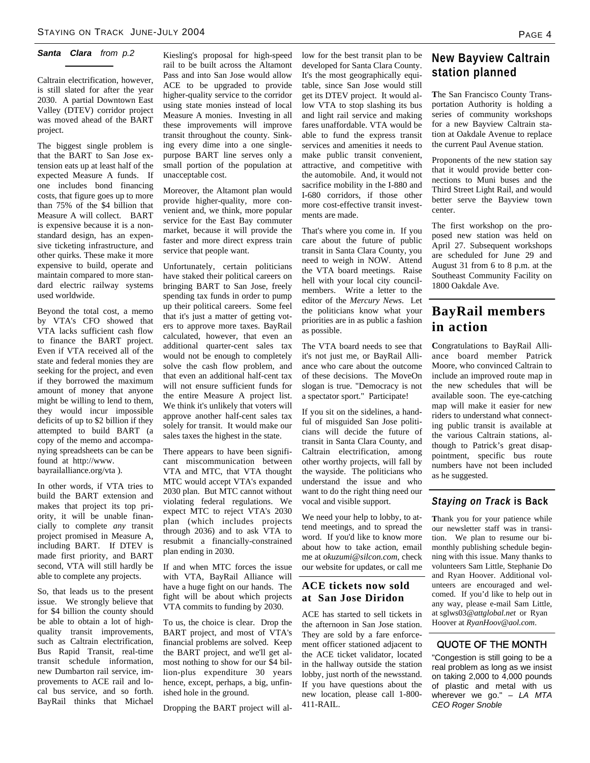### *Santa Clara from p.2*

Caltrain electrification, however, is still slated for after the year 2030. A partial Downtown East Valley (DTEV) corridor project was moved ahead of the BART project.

The biggest single problem is that the BART to San Jose extension eats up at least half of the expected Measure A funds. If one includes bond financing costs, that figure goes up to more than 75% of the \$4 billion that Measure A will collect. BART is expensive because it is a nonstandard design, has an expensive ticketing infrastructure, and other quirks. These make it more expensive to build, operate and maintain compared to more standard electric railway systems used worldwide.

Beyond the total cost, a memo by VTA's CFO showed that VTA lacks sufficient cash flow to finance the BART project. Even if VTA received all of the state and federal monies they are seeking for the project, and even if they borrowed the maximum amount of money that anyone might be willing to lend to them, they would incur impossible deficits of up to \$2 billion if they attempted to build BART (a copy of the memo and accompanying spreadsheets can be can be found at http://www. bayrailalliance.org/vta ).

In other words, if VTA tries to build the BART extension and makes that project its top priority, it will be unable financially to complete *any* transit project promised in Measure A, including BART. If DTEV is made first priority, and BART second, VTA will still hardly be able to complete any projects.

So, that leads us to the present issue. We strongly believe that for \$4 billion the county should be able to obtain a lot of highquality transit improvements, such as Caltrain electrification, Bus Rapid Transit, real-time transit schedule information, new Dumbarton rail service, improvements to ACE rail and local bus service, and so forth. BayRail thinks that Michael

Kiesling's proposal for high-speed rail to be built across the Altamont Pass and into San Jose would allow ACE to be upgraded to provide higher-quality service to the corridor using state monies instead of local Measure A monies. Investing in all these improvements will improve transit throughout the county. Sinking every dime into a one singlepurpose BART line serves only a small portion of the population at unacceptable cost.

Moreover, the Altamont plan would provide higher-quality, more convenient and, we think, more popular service for the East Bay commuter market, because it will provide the faster and more direct express train service that people want.

Unfortunately, certain politicians have staked their political careers on bringing BART to San Jose, freely spending tax funds in order to pump up their political careers. Some feel that it's just a matter of getting voters to approve more taxes. BayRail calculated, however, that even an additional quarter-cent sales tax would not be enough to completely solve the cash flow problem, and that even an additional half-cent tax will not ensure sufficient funds for the entire Measure A project list. We think it's unlikely that voters will approve another half-cent sales tax solely for transit. It would make our sales taxes the highest in the state.

There appears to have been significant miscommunication between VTA and MTC, that VTA thought MTC would accept VTA's expanded 2030 plan. But MTC cannot without violating federal regulations. We expect MTC to reject VTA's 2030 plan (which includes projects through 2036) and to ask VTA to resubmit a financially-constrained plan ending in 2030.

If and when MTC forces the issue with VTA, BayRail Alliance will have a huge fight on our hands. The fight will be about which projects VTA commits to funding by 2030.

To us, the choice is clear. Drop the BART project, and most of VTA's financial problems are solved. Keep the BART project, and we'll get almost nothing to show for our \$4 billion-plus expenditure 30 years hence, except, perhaps, a big, unfinished hole in the ground.

Dropping the BART project will al-

low for the best transit plan to be developed for Santa Clara County. It's the most geographically equitable, since San Jose would still get its DTEV project. It would allow VTA to stop slashing its bus and light rail service and making fares unaffordable. VTA would be able to fund the express transit services and amenities it needs to make public transit convenient, attractive, and competitive with the automobile. And, it would not sacrifice mobility in the I-880 and I-680 corridors, if those other more cost-effective transit investments are made.

That's where you come in. If you care about the future of public transit in Santa Clara County, you need to weigh in NOW. Attend the VTA board meetings. Raise hell with your local city councilmembers. Write a letter to the editor of the *Mercury News*. Let the politicians know what your priorities are in as public a fashion as possible.

The VTA board needs to see that it's not just me, or BayRail Alliance who care about the outcome of these decisions. The MoveOn slogan is true. "Democracy is not a spectator sport." Participate!

If you sit on the sidelines, a handful of misguided San Jose politicians will decide the future of transit in Santa Clara County, and Caltrain electrification, among other worthy projects, will fall by the wayside. The politicians who understand the issue and who want to do the right thing need our vocal and visible support.

We need your help to lobby, to attend meetings, and to spread the word. If you'd like to know more about how to take action, email me at *okuzumi@silcon.com*, check our website for updates, or call me

#### **ACE tickets now sold at San Jose Diridon**

ACE has started to sell tickets in the afternoon in San Jose station. They are sold by a fare enforcement officer stationed adjacent to the ACE ticket validator, located in the hallway outside the station lobby, just north of the newsstand. If you have questions about the new location, please call 1-800- 411-RAIL.

# **New Bayview Caltrain station planned**

**T**he San Francisco County Transportation Authority is holding a series of community workshops for a new Bayview Caltrain station at Oakdale Avenue to replace the current Paul Avenue station.

Proponents of the new station say that it would provide better connections to Muni buses and the Third Street Light Rail, and would better serve the Bayview town center.

The first workshop on the proposed new station was held on April 27. Subsequent workshops are scheduled for June 29 and August 31 from 6 to 8 p.m. at the Southeast Community Facility on 1800 Oakdale Ave.

# **BayRail members in action**

**C**ongratulations to BayRail Alliance board member Patrick Moore, who convinced Caltrain to include an improved route map in the new schedules that will be available soon. The eye-catching map will make it easier for new riders to understand what connecting public transit is available at the various Caltrain stations, although to Patrick's great disappointment, specific bus route numbers have not been included as he suggested.

## *Staying on Track* **is Back**

**T**hank you for your patience while our newsletter staff was in transition. We plan to resume our bimonthly publishing schedule beginning with this issue. Many thanks to volunteers Sam Little, Stephanie Do and Ryan Hoover. Additional volunteers are encouraged and welcomed. If you'd like to help out in any way, please e-mail Sam Little, at sglws03*@attglobal.net* or Ryan Hoover at *RyanHoov@aol.com*.

#### QUOTE OF THE MONTH

"Congestion is still going to be a real problem as long as we insist on taking 2,000 to 4,000 pounds of plastic and metal with us wherever we go." *– LA MTA CEO Roger Snoble*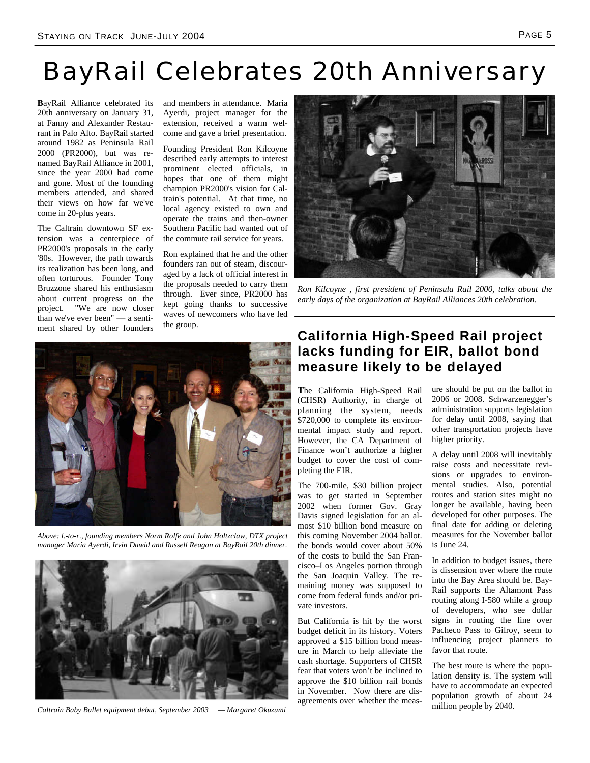# BayRail Celebrates 20th Anniversary

**B**ayRail Alliance celebrated its 20th anniversary on January 31, at Fanny and Alexander Restaurant in Palo Alto. BayRail started around 1982 as Peninsula Rail 2000 (PR2000), but was renamed BayRail Alliance in 2001, since the year 2000 had come and gone. Most of the founding members attended, and shared their views on how far we've come in 20-plus years.

The Caltrain downtown SF extension was a centerpiece of PR2000's proposals in the early '80s. However, the path towards its realization has been long, and often torturous. Founder Tony Bruzzone shared his enthusiasm about current progress on the project. "We are now closer than we've ever been" — a sentiment shared by other founders

and members in attendance. Maria Ayerdi, project manager for the extension, received a warm welcome and gave a brief presentation.

Founding President Ron Kilcoyne described early attempts to interest prominent elected officials, in hopes that one of them might champion PR2000's vision for Caltrain's potential. At that time, no local agency existed to own and operate the trains and then-owner Southern Pacific had wanted out of the commute rail service for years.

Ron explained that he and the other founders ran out of steam, discouraged by a lack of official interest in the proposals needed to carry them through. Ever since, PR2000 has kept going thanks to successive waves of newcomers who have led the group.



*Above: l.-to-r., founding members Norm Rolfe and John Holtzclaw, DTX project manager Maria Ayerdi, Irvin Dawid and Russell Reagan at BayRail 20th dinner.* 



*Caltrain Baby Bullet equipment debut, September 2003 — Margaret Okuzumi* 



*Ron Kilcoyne , first president of Peninsula Rail 2000, talks about the early days of the organization at BayRail Alliances 20th celebration.* 

# **California High-Speed Rail project lacks funding for EIR, ballot bond measure likely to be delayed**

**T**he California High-Speed Rail (CHSR) Authority, in charge of planning the system, needs \$720,000 to complete its environmental impact study and report. However, the CA Department of Finance won't authorize a higher budget to cover the cost of completing the EIR.

The 700-mile, \$30 billion project was to get started in September 2002 when former Gov. Gray Davis signed legislation for an almost \$10 billion bond measure on this coming November 2004 ballot. the bonds would cover about 50% of the costs to build the San Francisco–Los Angeles portion through the San Joaquin Valley. The remaining money was supposed to come from federal funds and/or private investors.

But California is hit by the worst budget deficit in its history. Voters approved a \$15 billion bond measure in March to help alleviate the cash shortage. Supporters of CHSR fear that voters won't be inclined to approve the \$10 billion rail bonds in November. Now there are disagreements over whether the measure should be put on the ballot in 2006 or 2008. Schwarzenegger's administration supports legislation for delay until 2008, saying that other transportation projects have higher priority.

A delay until 2008 will inevitably raise costs and necessitate revisions or upgrades to environmental studies. Also, potential routes and station sites might no longer be available, having been developed for other purposes. The final date for adding or deleting measures for the November ballot is June 24.

In addition to budget issues, there is dissension over where the route into the Bay Area should be. Bay-Rail supports the Altamont Pass routing along I-580 while a group of developers, who see dollar signs in routing the line over Pacheco Pass to Gilroy, seem to influencing project planners to favor that route.

The best route is where the population density is. The system will have to accommodate an expected population growth of about 24 million people by 2040.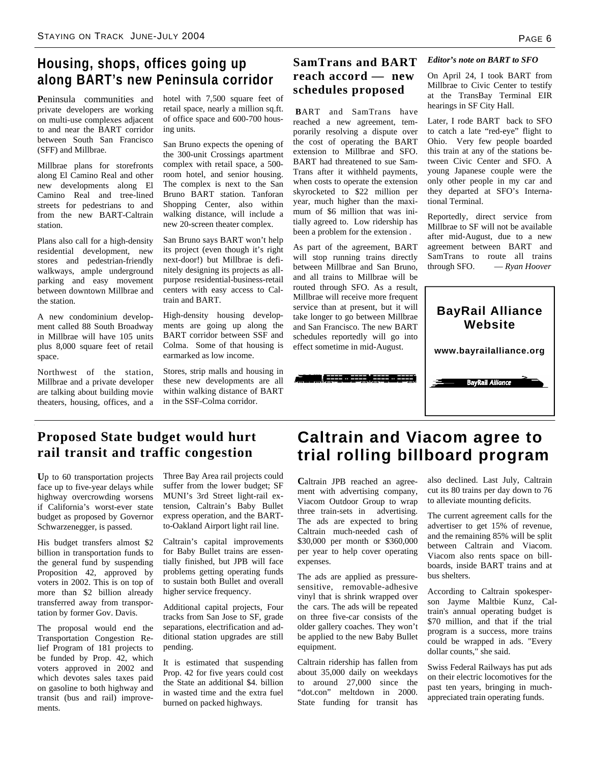# **Housing, shops, offices going up along BART's new Peninsula corridor**

**P**eninsula communities and private developers are working on multi-use complexes adjacent to and near the BART corridor between South San Francisco (SFF) and Millbrae.

Millbrae plans for storefronts along El Camino Real and other new developments along El Camino Real and tree-lined streets for pedestrians to and from the new BART-Caltrain station.

Plans also call for a high-density residential development, new stores and pedestrian-friendly walkways, ample underground parking and easy movement between downtown Millbrae and the station.

A new condominium development called 88 South Broadway in Millbrae will have 105 units plus 8,000 square feet of retail space.

Northwest of the station, Millbrae and a private developer are talking about building movie theaters, housing, offices, and a

hotel with 7,500 square feet of retail space, nearly a million sq.ft. of office space and 600-700 housing units.

San Bruno expects the opening of the 300-unit Crossings apartment complex with retail space, a 500 room hotel, and senior housing. The complex is next to the San Bruno BART station. Tanforan Shopping Center, also within walking distance, will include a new 20-screen theater complex.

San Bruno says BART won't help its project (even though it's right next-door!) but Millbrae is definitely designing its projects as allpurpose residential-business-retail centers with easy access to Caltrain and BART.

High-density housing developments are going up along the BART corridor between SSF and Colma. Some of that housing is earmarked as low income.

Stores, strip malls and housing in these new developments are all within walking distance of BART in the SSF-Colma corridor.

# **SamTrans and BART reach accord — new schedules proposed**

 **B**ART and SamTrans have reached a new agreement, temporarily resolving a dispute over the cost of operating the BART extension to Millbrae and SFO. BART had threatened to sue Sam-Trans after it withheld payments, when costs to operate the extension skyrocketed to \$22 million per year, much higher than the maximum of \$6 million that was initially agreed to. Low ridership has been a problem for the extension .

As part of the agreement, BART will stop running trains directly between Millbrae and San Bruno, and all trains to Millbrae will be routed through SFO. As a result, Millbrae will receive more frequent service than at present, but it will take longer to go between Millbrae and San Francisco. The new BART schedules reportedly will go into effect sometime in mid-August.

#### *Editor's note on BART to SFO*

On April 24, I took BART from Millbrae to Civic Center to testify at the TransBay Terminal EIR hearings in SF City Hall.

Later, I rode BART back to SFO to catch a late "red-eye" flight to Ohio. Very few people boarded this train at any of the stations between Civic Center and SFO. A young Japanese couple were the only other people in my car and they departed at SFO's International Terminal.

Reportedly, direct service from Millbrae to SF will not be available after mid-August, due to a new agreement between BART and SamTrans to route all trains through SFO. — *Ryan Hoover*



# **Proposed State budget would hurt rail transit and traffic congestion**

**U**p to 60 transportation projects face up to five-year delays while highway overcrowding worsens if California's worst-ever state budget as proposed by Governor Schwarzenegger, is passed.

His budget transfers almost \$2 billion in transportation funds to the general fund by suspending Proposition 42, approved by voters in 2002. This is on top of more than \$2 billion already transferred away from transportation by former Gov. Davis.

The proposal would end the Transportation Congestion Relief Program of 181 projects to be funded by Prop. 42, which voters approved in 2002 and which devotes sales taxes paid on gasoline to both highway and transit (bus and rail) improvements.

Three Bay Area rail projects could suffer from the lower budget; SF MUNI's 3rd Street light-rail extension, Caltrain's Baby Bullet express operation, and the BARTto-Oakland Airport light rail line.

Caltrain's capital improvements for Baby Bullet trains are essentially finished, but JPB will face problems getting operating funds to sustain both Bullet and overall higher service frequency.

Additional capital projects, Four tracks from San Jose to SF, grade separations, electrification and additional station upgrades are still pending.

It is estimated that suspending Prop. 42 for five years could cost the State an additional \$4. billion in wasted time and the extra fuel burned on packed highways.

# **Caltrain and Viacom agree to trial rolling billboard program**

**C**altrain JPB reached an agreement with advertising company, Viacom Outdoor Group to wrap three train-sets in advertising. The ads are expected to bring Caltrain much-needed cash of \$30,000 per month or \$360,000 per year to help cover operating expenses.

The ads are applied as pressuresensitive, removable-adhesive vinyl that is shrink wrapped over the cars. The ads will be repeated on three five-car consists of the older gallery coaches. They won't be applied to the new Baby Bullet equipment.

Caltrain ridership has fallen from about 35,000 daily on weekdays to around 27,000 since the "dot.con" meltdown in 2000. State funding for transit has

also declined. Last July, Caltrain cut its 80 trains per day down to 76 to alleviate mounting deficits.

The current agreement calls for the advertiser to get 15% of revenue, and the remaining 85% will be split between Caltrain and Viacom. Viacom also rents space on billboards, inside BART trains and at bus shelters.

According to Caltrain spokesperson Jayme Maltbie Kunz, Caltrain's annual operating budget is \$70 million, and that if the trial program is a success, more trains could be wrapped in ads. "Every dollar counts," she said.

Swiss Federal Railways has put ads on their electric locomotives for the past ten years, bringing in muchappreciated train operating funds.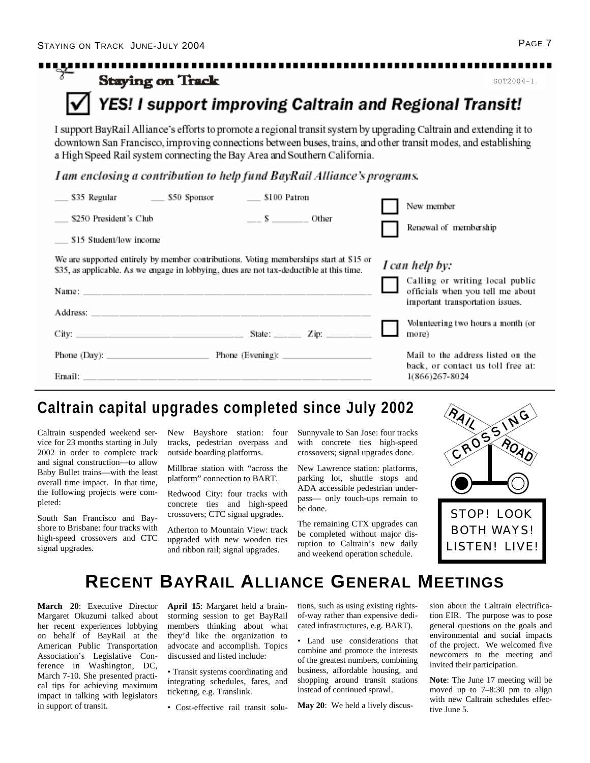| <b>Staying on Track</b>                                                                                                                                                                                                                                                                                            |                       | $SOT2004 - 1$                                                                                           |
|--------------------------------------------------------------------------------------------------------------------------------------------------------------------------------------------------------------------------------------------------------------------------------------------------------------------|-----------------------|---------------------------------------------------------------------------------------------------------|
| <b>YES! I support improving Caltrain and Regional Transit!</b>                                                                                                                                                                                                                                                     |                       |                                                                                                         |
| I support BayRail Alliance's efforts to promote a regional transit system by upgrading Caltrain and extending it to<br>downtown San Francisco, improving connections between buses, trains, and other transit modes, and establishing<br>a High Speed Rail system connecting the Bay Area and Southern California. |                       |                                                                                                         |
| I am enclosing a contribution to help fund BayRail Alliance's programs.                                                                                                                                                                                                                                            |                       |                                                                                                         |
| ______ \$100 Patron                                                                                                                                                                                                                                                                                                |                       | New member                                                                                              |
| \$250 President's Club                                                                                                                                                                                                                                                                                             | $\_\_$ S $\_\_$ Other | Renewal of membership                                                                                   |
| \$15 Student/low income                                                                                                                                                                                                                                                                                            |                       |                                                                                                         |
| We are supported entirely by member contributions. Voting memberships start at \$15 or<br>\$35, as applicable. As we engage in lobbying, dues are not tax-deductible at this time.                                                                                                                                 |                       | I can help by:                                                                                          |
| Name:                                                                                                                                                                                                                                                                                                              |                       | Calling or writing local public<br>officials when you tell me about<br>important transportation issues. |
|                                                                                                                                                                                                                                                                                                                    |                       | Volunteering two hours a month (or                                                                      |
|                                                                                                                                                                                                                                                                                                                    |                       | more)                                                                                                   |
| Phone (Day): Phone (Evening): Phone (Evening):                                                                                                                                                                                                                                                                     |                       | Mail to the address listed on the<br>back, or contact us toll free at:                                  |
|                                                                                                                                                                                                                                                                                                                    |                       | 1(866)267-8024                                                                                          |

Caltrain suspended weekend service for 23 months starting in July 2002 in order to complete track and signal construction—to allow Baby Bullet trains—with the least overall time impact. In that time, the following projects were completed:

South San Francisco and Bayshore to Brisbane: four tracks with high-speed crossovers and CTC signal upgrades.

New Bayshore station: four tracks, pedestrian overpass and outside boarding platforms.

Millbrae station with "across the platform" connection to BART.

Redwood City: four tracks with concrete ties and high-speed crossovers; CTC signal upgrades.

Atherton to Mountain View: track upgraded with new wooden ties and ribbon rail; signal upgrades.

Sunnyvale to San Jose: four tracks with concrete ties high-speed crossovers; signal upgrades done.

New Lawrence station: platforms, parking lot, shuttle stops and ADA accessible pedestrian underpass— only touch-ups remain to be done.

The remaining CTX upgrades can be completed without major disruption to Caltrain's new daily and weekend operation schedule.



# **RECENT BAYRAIL ALLIANCE GENERAL MEETINGS**

**March 20**: Executive Director Margaret Okuzumi talked about her recent experiences lobbying on behalf of BayRail at the American Public Transportation Association's Legislative Conference in Washington, DC, March 7-10. She presented practical tips for achieving maximum impact in talking with legislators in support of transit.

**April 15**: Margaret held a brainstorming session to get BayRail members thinking about what they'd like the organization to advocate and accomplish. Topics discussed and listed include:

• Transit systems coordinating and integrating schedules, fares, and ticketing, e.g. Translink.

• Cost-effective rail transit solu-

tions, such as using existing rightsof-way rather than expensive dedicated infrastructures, e.g. BART).

• Land use considerations that combine and promote the interests of the greatest numbers, combining business, affordable housing, and shopping around transit stations instead of continued sprawl.

**May 20**: We held a lively discus-

sion about the Caltrain electrification EIR. The purpose was to pose general questions on the goals and environmental and social impacts of the project. We welcomed five newcomers to the meeting and invited their participation.

**Note**: The June 17 meeting will be moved up to 7–8:30 pm to align with new Caltrain schedules effective June 5.